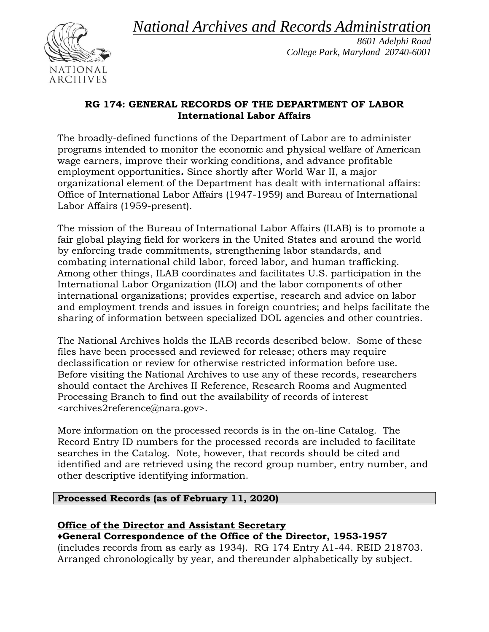*National Archives and Records Administration*



*8601 Adelphi Road College Park, Maryland 20740-6001*

## **RG 174: GENERAL RECORDS OF THE DEPARTMENT OF LABOR International Labor Affairs**

The broadly-defined functions of the Department of Labor are to administer programs intended to monitor the economic and physical welfare of American wage earners, improve their working conditions, and advance profitable employment opportunities*.* Since shortly after World War II, a major organizational element of the Department has dealt with international affairs: Office of International Labor Affairs (1947-1959) and Bureau of International Labor Affairs (1959-present).

The mission of the Bureau of International Labor Affairs (ILAB) is to promote a fair global playing field for workers in the United States and around the world by enforcing trade commitments, strengthening labor standards, and combating international child labor, forced labor, and human trafficking. Among other things, ILAB coordinates and facilitates U.S. participation in the International Labor Organization (ILO) and the labor components of other international organizations; provides expertise, research and advice on labor and employment trends and issues in foreign countries; and helps facilitate the sharing of information between specialized DOL agencies and other countries.

The National Archives holds the ILAB records described below. Some of these files have been processed and reviewed for release; others may require declassification or review for otherwise restricted information before use. Before visiting the National Archives to use any of these records, researchers should contact the Archives II Reference, Research Rooms and Augmented Processing Branch to find out the availability of records of interest <archives2reference@nara.gov>.

More information on the processed records is in the on-line Catalog. The Record Entry ID numbers for the processed records are included to facilitate searches in the Catalog. Note, however, that records should be cited and identified and are retrieved using the record group number, entry number, and other descriptive identifying information.

## **Processed Records (as of February 11, 2020)**

## **Office of the Director and Assistant Secretary**

**♦General Correspondence of the Office of the Director, 1953-1957**

(includes records from as early as 1934). RG 174 Entry A1-44. REID 218703. Arranged chronologically by year, and thereunder alphabetically by subject.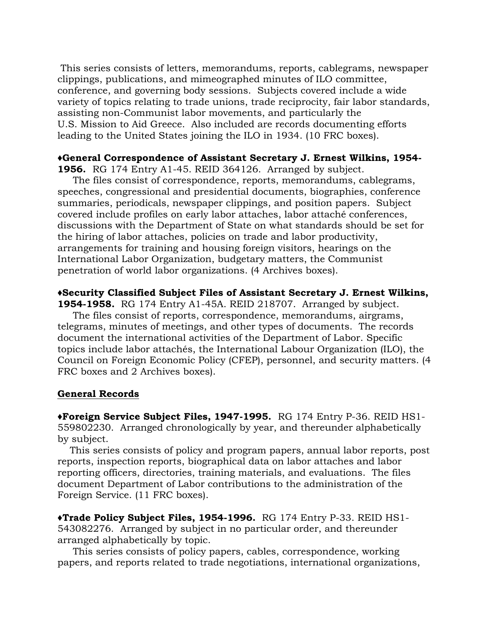This series consists of letters, memorandums, reports, cablegrams, newspaper clippings, publications, and mimeographed minutes of ILO committee, conference, and governing body sessions. Subjects covered include a wide variety of topics relating to trade unions, trade reciprocity, fair labor standards, assisting non-Communist labor movements, and particularly the U.S. Mission to Aid Greece. Also included are records documenting efforts leading to the United States joining the ILO in 1934. (10 FRC boxes).

#### **♦General Correspondence of Assistant Secretary J. Ernest Wilkins, 1954-**

**1956.** RG 174 Entry A1-45. REID 364126. Arranged by subject.

 The files consist of correspondence, reports, memorandums, cablegrams, speeches, congressional and presidential documents, biographies, conference summaries, periodicals, newspaper clippings, and position papers. Subject covered include profiles on early labor attaches, labor attaché conferences, discussions with the Department of State on what standards should be set for the hiring of labor attaches, policies on trade and labor productivity, arrangements for training and housing foreign visitors, hearings on the International Labor Organization, budgetary matters, the Communist penetration of world labor organizations. (4 Archives boxes).

#### **♦Security Classified Subject Files of Assistant Secretary J. Ernest Wilkins,**

**1954-1958.** RG 174 Entry A1-45A. REID 218707. Arranged by subject. The files consist of reports, correspondence, memorandums, airgrams, telegrams, minutes of meetings, and other types of documents. The records document the international activities of the Department of Labor. Specific topics include labor attachés, the International Labour Organization (ILO), the Council on Foreign Economic Policy (CFEP), personnel, and security matters. (4 FRC boxes and 2 Archives boxes).

#### **General Records**

**♦Foreign Service Subject Files, 1947-1995.** RG 174 Entry P-36. REID HS1- 559802230. Arranged chronologically by year, and thereunder alphabetically by subject.

 This series consists of policy and program papers, annual labor reports, post reports, inspection reports, biographical data on labor attaches and labor reporting officers, directories, training materials, and evaluations. The files document Department of Labor contributions to the administration of the Foreign Service. (11 FRC boxes).

**♦Trade Policy Subject Files, 1954-1996.** RG 174 Entry P-33. REID HS1- 543082276. Arranged by subject in no particular order, and thereunder arranged alphabetically by topic.

 This series consists of policy papers, cables, correspondence, working papers, and reports related to trade negotiations, international organizations,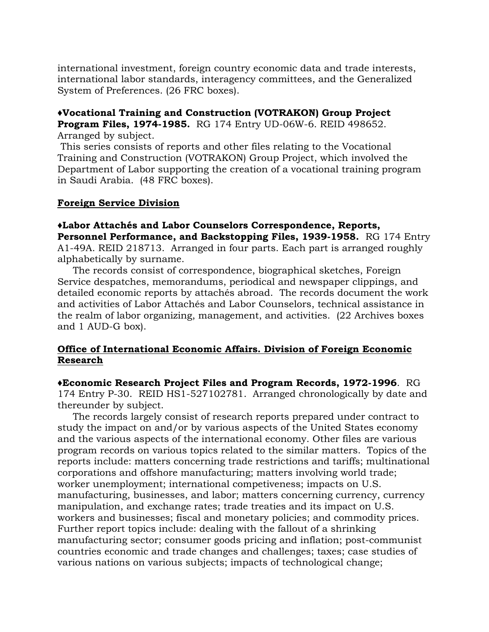international investment, foreign country economic data and trade interests, international labor standards, interagency committees, and the Generalized System of Preferences. (26 FRC boxes).

# **♦Vocational Training and Construction (VOTRAKON) Group Project Program Files, 1974-1985.** RG 174 Entry UD-06W-6. REID 498652.

Arranged by subject.

This series consists of reports and other files relating to the Vocational Training and Construction (VOTRAKON) Group Project, which involved the Department of Labor supporting the creation of a vocational training program in Saudi Arabia. (48 FRC boxes).

#### **Foreign Service Division**

**♦Labor Attachés and Labor Counselors Correspondence, Reports, Personnel Performance, and Backstopping Files, 1939-1958.** RG 174 Entry A1-49A. REID 218713. Arranged in four parts. Each part is arranged roughly alphabetically by surname.

 The records consist of correspondence, biographical sketches, Foreign Service despatches, memorandums, periodical and newspaper clippings, and detailed economic reports by attachés abroad. The records document the work and activities of Labor Attachés and Labor Counselors, technical assistance in the realm of labor organizing, management, and activities. (22 Archives boxes and 1 AUD-G box).

#### **Office of International Economic Affairs. Division of Foreign Economic Research**

**♦Economic Research Project Files and Program Records, 1972-1996**. RG 174 Entry P-30. REID HS1-527102781. Arranged chronologically by date and thereunder by subject.

 The records largely consist of research reports prepared under contract to study the impact on and/or by various aspects of the United States economy and the various aspects of the international economy. Other files are various program records on various topics related to the similar matters. Topics of the reports include: matters concerning trade restrictions and tariffs; multinational corporations and offshore manufacturing; matters involving world trade; worker unemployment; international competiveness; impacts on U.S. manufacturing, businesses, and labor; matters concerning currency, currency manipulation, and exchange rates; trade treaties and its impact on U.S. workers and businesses; fiscal and monetary policies; and commodity prices. Further report topics include: dealing with the fallout of a shrinking manufacturing sector; consumer goods pricing and inflation; post-communist countries economic and trade changes and challenges; taxes; case studies of various nations on various subjects; impacts of technological change;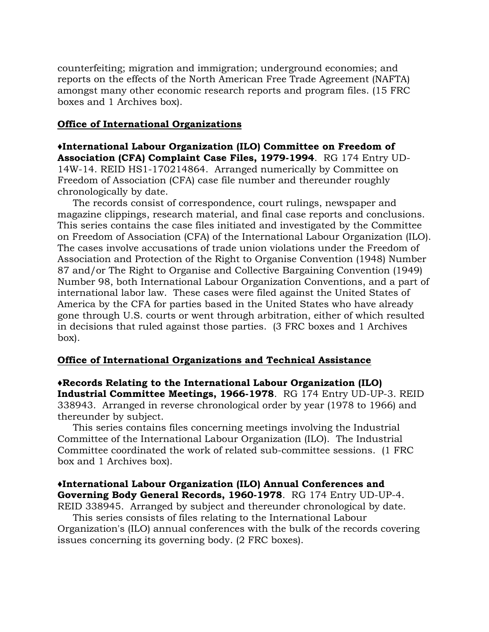counterfeiting; migration and immigration; underground economies; and reports on the effects of the North American Free Trade Agreement (NAFTA) amongst many other economic research reports and program files. (15 FRC boxes and 1 Archives box).

#### **Office of International Organizations**

**♦International Labour Organization (ILO) Committee on Freedom of Association (CFA) Complaint Case Files, 1979-1994**. RG 174 Entry UD-14W-14. REID HS1-170214864. Arranged numerically by Committee on Freedom of Association (CFA) case file number and thereunder roughly chronologically by date.

 The records consist of correspondence, court rulings, newspaper and magazine clippings, research material, and final case reports and conclusions. This series contains the case files initiated and investigated by the Committee on Freedom of Association (CFA) of the International Labour Organization (ILO). The cases involve accusations of trade union violations under the Freedom of Association and Protection of the Right to Organise Convention (1948) Number 87 and/or The Right to Organise and Collective Bargaining Convention (1949) Number 98, both International Labour Organization Conventions, and a part of international labor law. These cases were filed against the United States of America by the CFA for parties based in the United States who have already gone through U.S. courts or went through arbitration, either of which resulted in decisions that ruled against those parties. (3 FRC boxes and 1 Archives box).

#### **Office of International Organizations and Technical Assistance**

**♦Records Relating to the International Labour Organization (ILO) Industrial Committee Meetings, 1966-1978**. RG 174 Entry UD-UP-3. REID 338943. Arranged in reverse chronological order by year (1978 to 1966) and thereunder by subject.

 This series contains files concerning meetings involving the Industrial Committee of the International Labour Organization (ILO). The Industrial Committee coordinated the work of related sub-committee sessions. (1 FRC box and 1 Archives box).

#### **♦International Labour Organization (ILO) Annual Conferences and Governing Body General Records, 1960-1978**. RG 174 Entry UD-UP-4. REID 338945. Arranged by subject and thereunder chronological by date.

 This series consists of files relating to the International Labour Organization's (ILO) annual conferences with the bulk of the records covering issues concerning its governing body. (2 FRC boxes).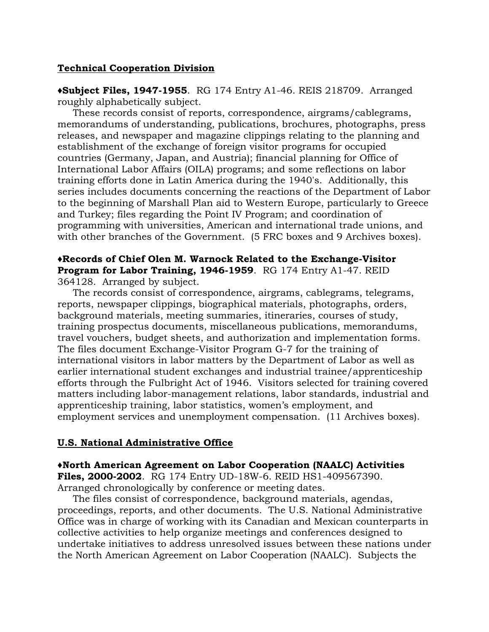#### **Technical Cooperation Division**

**♦Subject Files, 1947-1955**. RG 174 Entry A1-46. REIS 218709. Arranged roughly alphabetically subject.

 These records consist of reports, correspondence, airgrams/cablegrams, memorandums of understanding, publications, brochures, photographs, press releases, and newspaper and magazine clippings relating to the planning and establishment of the exchange of foreign visitor programs for occupied countries (Germany, Japan, and Austria); financial planning for Office of International Labor Affairs (OILA) programs; and some reflections on labor training efforts done in Latin America during the 1940's. Additionally, this series includes documents concerning the reactions of the Department of Labor to the beginning of Marshall Plan aid to Western Europe, particularly to Greece and Turkey; files regarding the Point IV Program; and coordination of programming with universities, American and international trade unions, and with other branches of the Government. (5 FRC boxes and 9 Archives boxes).

#### **♦Records of Chief Olen M. Warnock Related to the Exchange-Visitor Program for Labor Training, 1946-1959**. RG 174 Entry A1-47. REID 364128. Arranged by subject.

 The records consist of correspondence, airgrams, cablegrams, telegrams, reports, newspaper clippings, biographical materials, photographs, orders, background materials, meeting summaries, itineraries, courses of study, training prospectus documents, miscellaneous publications, memorandums, travel vouchers, budget sheets, and authorization and implementation forms. The files document Exchange-Visitor Program G-7 for the training of international visitors in labor matters by the Department of Labor as well as earlier international student exchanges and industrial trainee/apprenticeship efforts through the Fulbright Act of 1946. Visitors selected for training covered matters including labor-management relations, labor standards, industrial and apprenticeship training, labor statistics, women's employment, and employment services and unemployment compensation. (11 Archives boxes).

#### **U.S. National Administrative Office**

**♦North American Agreement on Labor Cooperation (NAALC) Activities Files, 2000-2002**. RG 174 Entry UD-18W-6. REID HS1-409567390. Arranged chronologically by conference or meeting dates.

 The files consist of correspondence, background materials, agendas, proceedings, reports, and other documents. The U.S. National Administrative Office was in charge of working with its Canadian and Mexican counterparts in collective activities to help organize meetings and conferences designed to undertake initiatives to address unresolved issues between these nations under the North American Agreement on Labor Cooperation (NAALC). Subjects the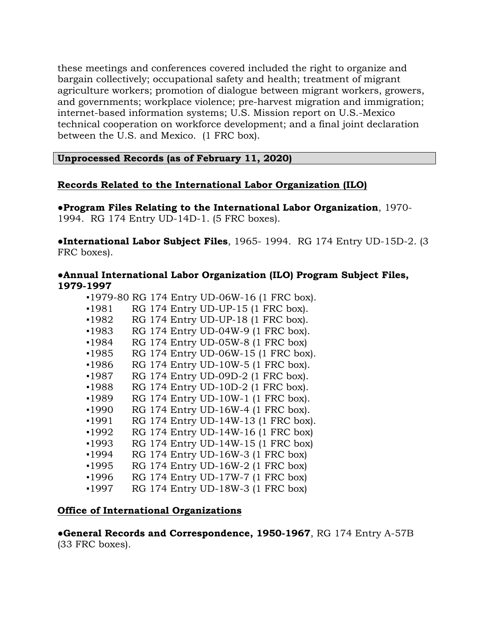these meetings and conferences covered included the right to organize and bargain collectively; occupational safety and health; treatment of migrant agriculture workers; promotion of dialogue between migrant workers, growers, and governments; workplace violence; pre-harvest migration and immigration; internet-based information systems; U.S. Mission report on U.S.-Mexico technical cooperation on workforce development; and a final joint declaration between the U.S. and Mexico. (1 FRC box).

**Unprocessed Records (as of February 11, 2020)**

#### **Records Related to the International Labor Organization (ILO)**

**●Program Files Relating to the International Labor Organization**, 1970- 1994. RG 174 Entry UD-14D-1. (5 FRC boxes).

**●International Labor Subject Files**, 1965- 1994. RG 174 Entry UD-15D-2. (3 FRC boxes).

#### **●Annual International Labor Organization (ILO) Program Subject Files, 1979-1997**

|         |  | •1979-80 RG 174 Entry UD-06W-16 (1 FRC box). |
|---------|--|----------------------------------------------|
| $-1981$ |  | RG 174 Entry UD-UP-15 (1 FRC box).           |
| -1982   |  | RG 174 Entry UD-UP-18 (1 FRC box).           |
| ■1983   |  | RG 174 Entry UD-04W-9 (1 FRC box).           |
| ■1984   |  | RG 174 Entry UD-05W-8 (1 FRC box)            |
| •1985   |  | RG 174 Entry UD-06W-15 (1 FRC box).          |
| ∙1986   |  | RG 174 Entry UD-10W-5 (1 FRC box).           |
| $-1987$ |  | RG 174 Entry UD-09D-2 (1 FRC box).           |
| ■1988   |  | RG 174 Entry UD-10D-2 (1 FRC box).           |
| ∙1989   |  | RG 174 Entry UD-10W-1 (1 FRC box).           |
| -1990   |  | RG 174 Entry UD-16W-4 (1 FRC box).           |
| -1991   |  | RG 174 Entry UD-14W-13 (1 FRC box).          |
| -1992   |  | RG 174 Entry UD-14W-16 (1 FRC box)           |
| ∙1993   |  | RG 174 Entry UD-14W-15 (1 FRC box)           |
| -1994   |  | RG 174 Entry UD-16W-3 (1 FRC box)            |
| ■1995   |  | RG 174 Entry UD-16W-2 (1 FRC box)            |
| ∙1996   |  | RG 174 Entry UD-17W-7 (1 FRC box)            |
| -1997   |  | RG 174 Entry UD-18W-3 (1 FRC box)            |

#### **Office of International Organizations**

**●General Records and Correspondence, 1950-1967**, RG 174 Entry A-57B (33 FRC boxes).